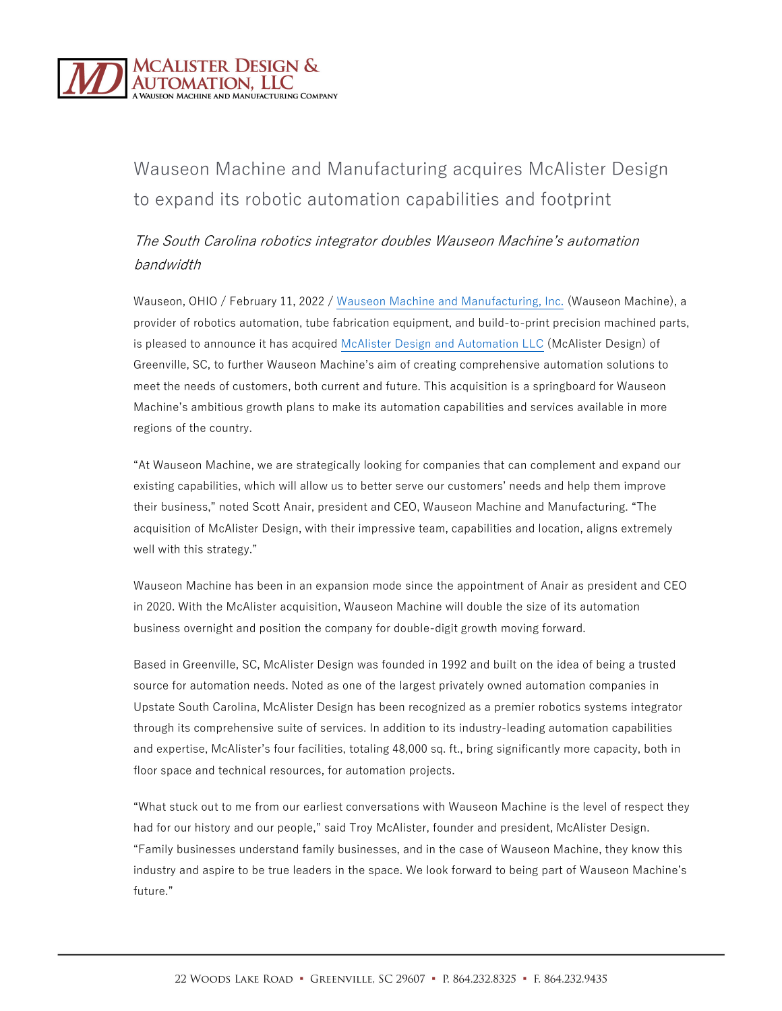

## Wauseon Machine and Manufacturing acquires McAlister Design to expand its robotic automation capabilities and footprint

## The South Carolina robotics integrator doubles Wauseon Machine's automation bandwidth

Wauseon, OHIO / February 11, 2022 [/ Wauseon Machine and Manufacturing, Inc.](https://www.wauseonmachine.com/) (Wauseon Machine), a provider of robotics automation, tube fabrication equipment, and build-to-print precision machined parts, is pleased to announce it has acquired [McAlister Design and Automation LLC](https://www.mcalisterdesign.com/) (McAlister Design) of Greenville, SC, to further Wauseon Machine's aim of creating comprehensive automation solutions to meet the needs of customers, both current and future. This acquisition is a springboard for Wauseon Machine's ambitious growth plans to make its automation capabilities and services available in more regions of the country.

"At Wauseon Machine, we are strategically looking for companies that can complement and expand our existing capabilities, which will allow us to better serve our customers' needs and help them improve their business," noted Scott Anair, president and CEO, Wauseon Machine and Manufacturing. "The acquisition of McAlister Design, with their impressive team, capabilities and location, aligns extremely well with this strategy."

Wauseon Machine has been in an expansion mode since the appointment of Anair as president and CEO in 2020. With the McAlister acquisition, Wauseon Machine will double the size of its automation business overnight and position the company for double-digit growth moving forward.

Based in Greenville, SC, McAlister Design was founded in 1992 and built on the idea of being a trusted source for automation needs. Noted as one of the largest privately owned automation companies in Upstate South Carolina, McAlister Design has been recognized as a premier robotics systems integrator through its comprehensive suite of services. In addition to its industry-leading automation capabilities and expertise, McAlister's four facilities, totaling 48,000 sq. ft., bring significantly more capacity, both in floor space and technical resources, for automation projects.

"What stuck out to me from our earliest conversations with Wauseon Machine is the level of respect they had for our history and our people," said Troy McAlister, founder and president, McAlister Design. "Family businesses understand family businesses, and in the case of Wauseon Machine, they know this industry and aspire to be true leaders in the space. We look forward to being part of Wauseon Machine's future."